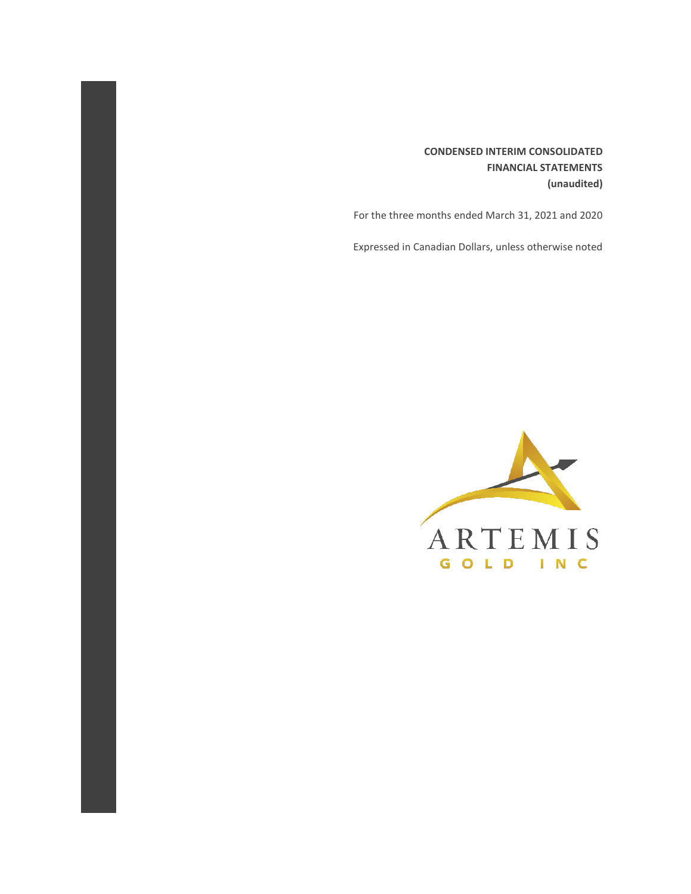### **CONDENSED INTERIM CONSOLIDATED FINANCIAL STATEMENTS (unaudited)**

For the three months ended March 31, 2021 and 2020

Expressed in Canadian Dollars, unless otherwise noted

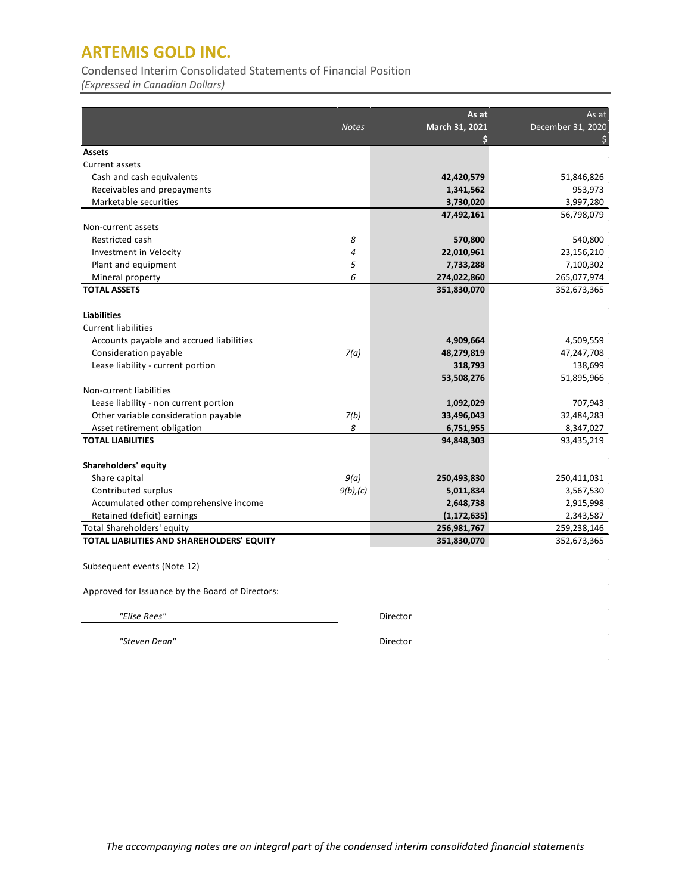Condensed Interim Consolidated Statements of Financial Position

*(Expressed in Canadian Dollars)*

|                                            | <b>Notes</b> | As at<br>March 31, 2021 | As at<br>December 31, 2020 |
|--------------------------------------------|--------------|-------------------------|----------------------------|
|                                            |              | S                       |                            |
| <b>Assets</b>                              |              |                         |                            |
| Current assets                             |              |                         |                            |
| Cash and cash equivalents                  |              | 42,420,579              | 51,846,826                 |
| Receivables and prepayments                |              | 1,341,562               | 953,973                    |
| Marketable securities                      |              | 3,730,020               | 3,997,280                  |
|                                            |              | 47,492,161              | 56,798,079                 |
| Non-current assets                         |              |                         |                            |
| Restricted cash                            | 8            | 570,800                 | 540,800                    |
| Investment in Velocity                     | 4            | 22,010,961              | 23,156,210                 |
| Plant and equipment                        | 5            | 7,733,288               | 7,100,302                  |
| Mineral property                           | 6            | 274,022,860             | 265,077,974                |
| <b>TOTAL ASSETS</b>                        |              | 351,830,070             | 352,673,365                |
|                                            |              |                         |                            |
| <b>Liabilities</b>                         |              |                         |                            |
| <b>Current liabilities</b>                 |              |                         |                            |
| Accounts payable and accrued liabilities   |              | 4,909,664               | 4,509,559                  |
| Consideration payable                      | 7(a)         | 48,279,819              | 47,247,708                 |
| Lease liability - current portion          |              | 318,793                 | 138,699                    |
|                                            |              | 53,508,276              | 51,895,966                 |
| Non-current liabilities                    |              |                         |                            |
| Lease liability - non current portion      |              | 1,092,029               | 707,943                    |
| Other variable consideration payable       | 7(b)         | 33,496,043              | 32,484,283                 |
| Asset retirement obligation                | 8            | 6,751,955               | 8,347,027                  |
| <b>TOTAL LIABILITIES</b>                   |              | 94,848,303              | 93,435,219                 |
|                                            |              |                         |                            |
| Shareholders' equity                       |              |                         |                            |
| Share capital                              | 9(a)         | 250,493,830             | 250,411,031                |
| Contributed surplus                        | $9(b)$ , (c) | 5,011,834               | 3,567,530                  |
| Accumulated other comprehensive income     |              | 2,648,738               | 2,915,998                  |
| Retained (deficit) earnings                |              | (1, 172, 635)           | 2,343,587                  |
| Total Shareholders' equity                 |              | 256,981,767             | 259,238,146                |
| TOTAL LIABILITIES AND SHAREHOLDERS' EQUITY |              | 351,830,070             | 352,673,365                |

Subsequent events (Note 12)

Approved for Issuance by the Board of Directors:

 *"Steven Dean"* Director

 *"Elise Rees"* Director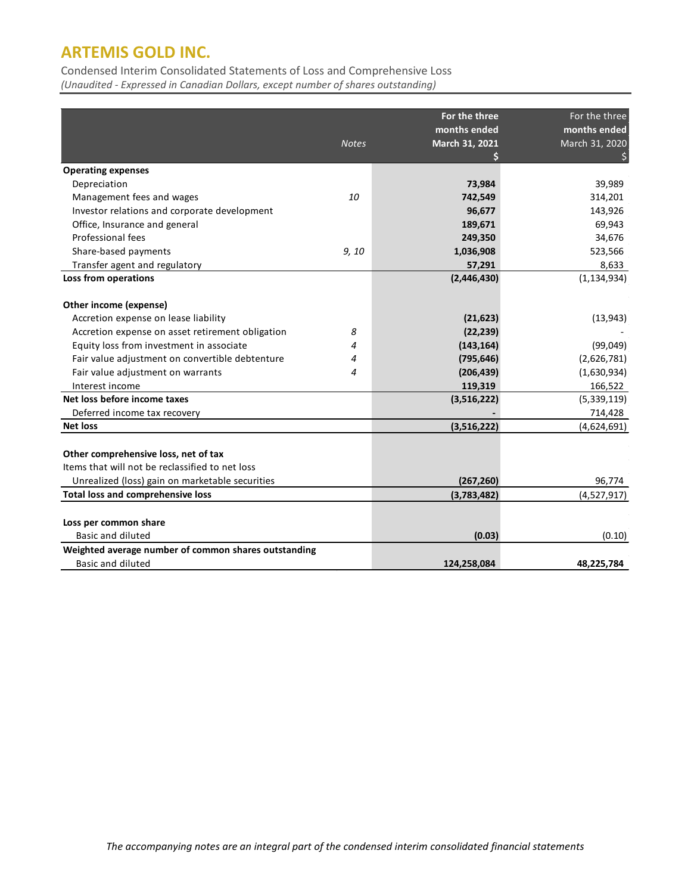Condensed Interim Consolidated Statements of Loss and Comprehensive Loss

*(Unaudited - Expressed in Canadian Dollars, except number of shares outstanding)*

|                                                      |              | For the three  | For the three  |
|------------------------------------------------------|--------------|----------------|----------------|
|                                                      |              | months ended   | months ended   |
|                                                      | <b>Notes</b> | March 31, 2021 | March 31, 2020 |
|                                                      |              |                |                |
| <b>Operating expenses</b>                            |              |                |                |
| Depreciation                                         |              | 73,984         | 39,989         |
| Management fees and wages                            | 10           | 742,549        | 314,201        |
| Investor relations and corporate development         |              | 96,677         | 143,926        |
| Office, Insurance and general                        |              | 189,671        | 69,943         |
| Professional fees                                    |              | 249,350        | 34,676         |
| Share-based payments                                 | 9, 10        | 1,036,908      | 523,566        |
| Transfer agent and regulatory                        |              | 57,291         | 8,633          |
| Loss from operations                                 |              | (2,446,430)    | (1, 134, 934)  |
|                                                      |              |                |                |
| Other income (expense)                               |              |                |                |
| Accretion expense on lease liability                 |              | (21, 623)      | (13, 943)      |
| Accretion expense on asset retirement obligation     | 8            | (22, 239)      |                |
| Equity loss from investment in associate             | 4            | (143, 164)     | (99,049)       |
| Fair value adjustment on convertible debtenture      | 4            | (795, 646)     | (2,626,781)    |
| Fair value adjustment on warrants                    | 4            | (206, 439)     | (1,630,934)    |
| Interest income                                      |              | 119,319        | 166,522        |
| Net loss before income taxes                         |              | (3,516,222)    | (5,339,119)    |
| Deferred income tax recovery                         |              |                | 714,428        |
| <b>Net loss</b>                                      |              | (3,516,222)    | (4,624,691)    |
|                                                      |              |                |                |
| Other comprehensive loss, net of tax                 |              |                |                |
| Items that will not be reclassified to net loss      |              |                |                |
| Unrealized (loss) gain on marketable securities      |              | (267, 260)     | 96,774         |
| Total loss and comprehensive loss                    |              | (3,783,482)    | (4,527,917)    |
|                                                      |              |                |                |
| Loss per common share                                |              |                |                |
| Basic and diluted                                    |              | (0.03)         | (0.10)         |
| Weighted average number of common shares outstanding |              |                |                |
| <b>Basic and diluted</b>                             |              | 124,258,084    | 48,225,784     |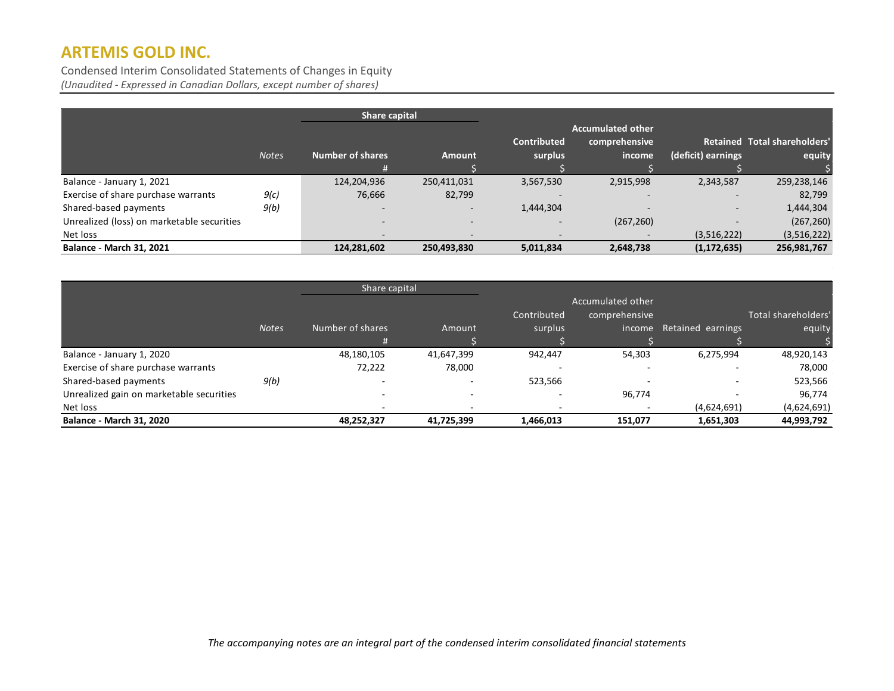Condensed Interim Consolidated Statements of Changes in Equity *(Unaudited - Expressed in Canadian Dollars, except number of shares)*

|                                            |              | Share capital            |                          |                          |                          |                          |                                     |
|--------------------------------------------|--------------|--------------------------|--------------------------|--------------------------|--------------------------|--------------------------|-------------------------------------|
|                                            |              |                          |                          |                          | <b>Accumulated other</b> |                          |                                     |
|                                            |              |                          |                          | Contributed              | comprehensive            |                          | <b>Retained Total shareholders'</b> |
|                                            | <b>Notes</b> | <b>Number of shares</b>  | <b>Amount</b>            | surplus                  | income                   | (deficit) earnings       | equity                              |
|                                            |              | #                        |                          |                          |                          |                          |                                     |
| Balance - January 1, 2021                  |              | 124,204,936              | 250,411,031              | 3,567,530                | 2,915,998                | 2,343,587                | 259,238,146                         |
| Exercise of share purchase warrants        | 9(c)         | 76,666                   | 82,799                   |                          |                          |                          | 82,799                              |
| Shared-based payments                      | 9(b)         |                          | $\overline{\phantom{0}}$ | 1,444,304                |                          | $\overline{\phantom{0}}$ | 1,444,304                           |
| Unrealized (loss) on marketable securities |              |                          |                          | $\overline{\phantom{0}}$ | (267, 260)               |                          | (267, 260)                          |
| Net loss                                   |              | $\overline{\phantom{0}}$ |                          | $\qquad \qquad$          |                          | (3,516,222)              | (3,516,222)                         |
| <b>Balance - March 31, 2021</b>            |              | 124,281,602              | 250,493,830              | 5,011,834                | 2,648,738                | (1, 172, 635)            | 256,981,767                         |

|                                          | Share capital |                  |            |             |                   |                   |                     |
|------------------------------------------|---------------|------------------|------------|-------------|-------------------|-------------------|---------------------|
|                                          |               |                  |            |             | Accumulated other |                   |                     |
|                                          |               |                  |            | Contributed | comprehensive     |                   | Total shareholders' |
|                                          | <b>Notes</b>  | Number of shares | Amount     | surplus     | income            | Retained earnings | equity              |
|                                          |               | #                |            |             |                   |                   |                     |
| Balance - January 1, 2020                |               | 48,180,105       | 41,647,399 | 942,447     | 54,303            | 6,275,994         | 48,920,143          |
| Exercise of share purchase warrants      |               | 72,222           | 78,000     | -           |                   |                   | 78,000              |
| Shared-based payments                    | 9(b)          |                  |            | 523,566     |                   |                   | 523,566             |
| Unrealized gain on marketable securities |               | -                |            | $\sim$      | 96,774            |                   | 96,774              |
| Net loss                                 |               |                  |            |             |                   | (4,624,691)       | (4,624,691)         |
| <b>Balance - March 31, 2020</b>          |               | 48,252,327       | 41,725,399 | 1,466,013   | 151,077           | 1,651,303         | 44,993,792          |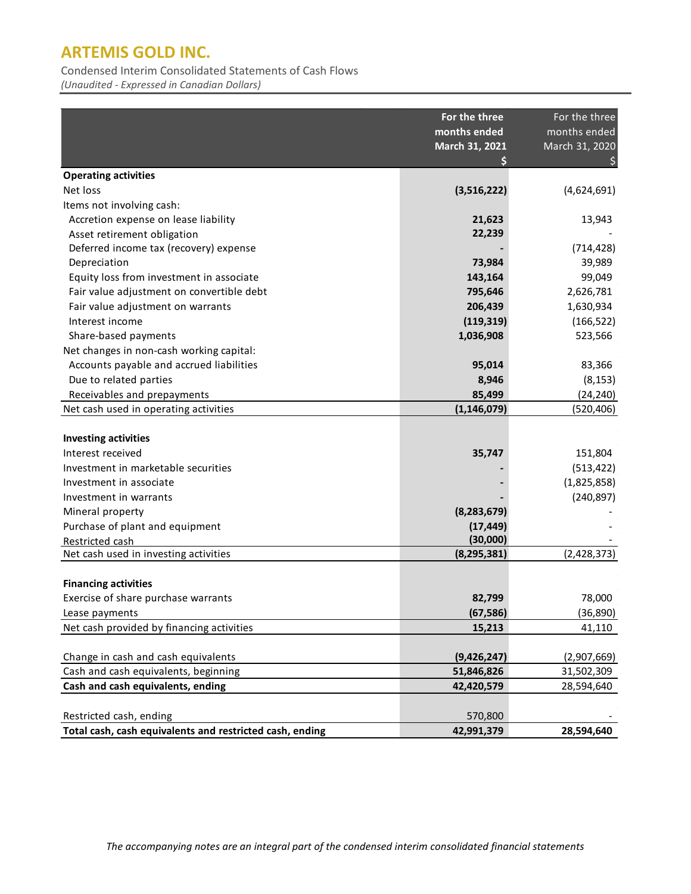Condensed Interim Consolidated Statements of Cash Flows

*(Unaudited - Expressed in Canadian Dollars)*

|                                                          | For the three<br>months ended | For the three<br>months ended |
|----------------------------------------------------------|-------------------------------|-------------------------------|
|                                                          | March 31, 2021                | March 31, 2020                |
| <b>Operating activities</b>                              |                               |                               |
| Net loss                                                 | (3,516,222)                   | (4,624,691)                   |
| Items not involving cash:                                |                               |                               |
| Accretion expense on lease liability                     | 21,623                        | 13,943                        |
| Asset retirement obligation                              | 22,239                        |                               |
| Deferred income tax (recovery) expense                   |                               | (714, 428)                    |
| Depreciation                                             | 73,984                        | 39,989                        |
| Equity loss from investment in associate                 | 143,164                       | 99,049                        |
| Fair value adjustment on convertible debt                | 795,646                       | 2,626,781                     |
| Fair value adjustment on warrants                        | 206,439                       | 1,630,934                     |
| Interest income                                          | (119, 319)                    | (166, 522)                    |
| Share-based payments                                     | 1,036,908                     | 523,566                       |
| Net changes in non-cash working capital:                 |                               |                               |
| Accounts payable and accrued liabilities                 | 95,014                        | 83,366                        |
| Due to related parties                                   | 8,946                         | (8, 153)                      |
| Receivables and prepayments                              | 85,499                        | (24, 240)                     |
| Net cash used in operating activities                    | (1, 146, 079)                 | (520, 406)                    |
|                                                          |                               |                               |
| <b>Investing activities</b>                              |                               |                               |
| Interest received                                        | 35,747                        | 151,804                       |
| Investment in marketable securities                      |                               | (513, 422)                    |
| Investment in associate                                  |                               | (1,825,858)                   |
| Investment in warrants                                   |                               | (240, 897)                    |
| Mineral property                                         | (8, 283, 679)                 |                               |
| Purchase of plant and equipment                          | (17, 449)                     |                               |
| Restricted cash                                          | (30,000)                      |                               |
| Net cash used in investing activities                    | (8, 295, 381)                 | (2,428,373)                   |
|                                                          |                               |                               |
| <b>Financing activities</b>                              |                               |                               |
| Exercise of share purchase warrants                      | 82,799                        | 78,000                        |
| Lease payments                                           | (67, 586)                     | (36, 890)                     |
| Net cash provided by financing activities                | 15,213                        | 41,110                        |
|                                                          |                               |                               |
| Change in cash and cash equivalents                      | (9,426,247)                   | (2,907,669)                   |
| Cash and cash equivalents, beginning                     | 51,846,826                    | 31,502,309                    |
| Cash and cash equivalents, ending                        | 42,420,579                    | 28,594,640                    |
|                                                          |                               |                               |
| Restricted cash, ending                                  | 570,800                       |                               |
| Total cash, cash equivalents and restricted cash, ending | 42,991,379                    | 28,594,640                    |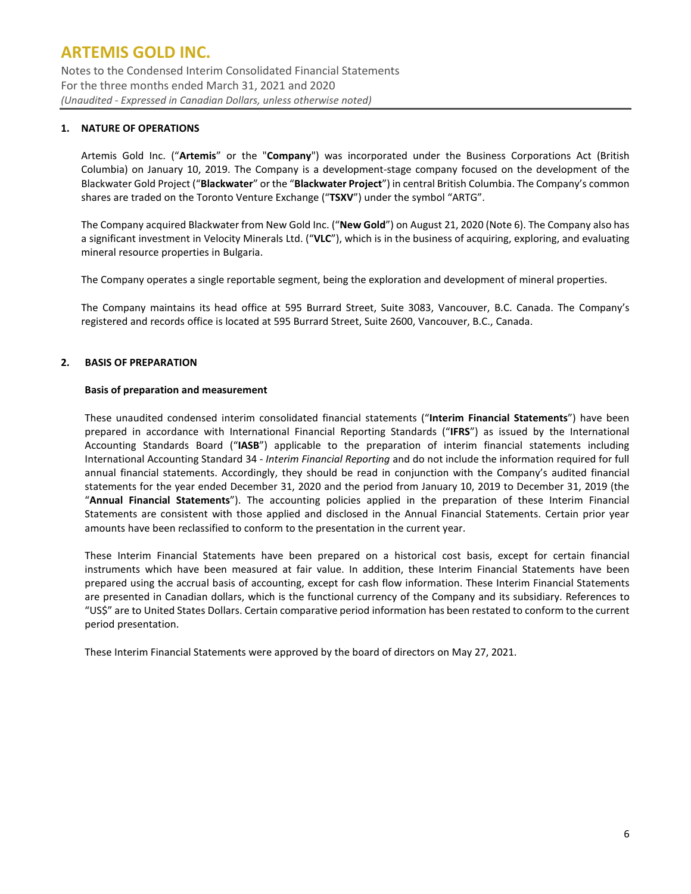Notes to the Condensed Interim Consolidated Financial Statements For the three months ended March 31, 2021 and 2020 *(Unaudited - Expressed in Canadian Dollars, unless otherwise noted)*

### **1. NATURE OF OPERATIONS**

Artemis Gold Inc. ("**Artemis**" or the "**Company**") was incorporated under the Business Corporations Act (British Columbia) on January 10, 2019. The Company is a development-stage company focused on the development of the Blackwater Gold Project ("**Blackwater**" or the "**Blackwater Project**") in central British Columbia. The Company's common shares are traded on the Toronto Venture Exchange ("**TSXV**") under the symbol "ARTG".

The Company acquired Blackwater from New Gold Inc. ("**New Gold**") on August 21, 2020 (Note 6). The Company also has a significant investment in Velocity Minerals Ltd. ("**VLC**"), which is in the business of acquiring, exploring, and evaluating mineral resource properties in Bulgaria.

The Company operates a single reportable segment, being the exploration and development of mineral properties.

The Company maintains its head office at 595 Burrard Street, Suite 3083, Vancouver, B.C. Canada. The Company's registered and records office is located at 595 Burrard Street, Suite 2600, Vancouver, B.C., Canada.

#### **2. BASIS OF PREPARATION**

#### **Basis of preparation and measurement**

These unaudited condensed interim consolidated financial statements ("**Interim Financial Statements**") have been prepared in accordance with International Financial Reporting Standards ("**IFRS**") as issued by the International Accounting Standards Board ("**IASB**") applicable to the preparation of interim financial statements including International Accounting Standard 34 - *Interim Financial Reporting* and do not include the information required for full annual financial statements. Accordingly, they should be read in conjunction with the Company's audited financial statements for the year ended December 31, 2020 and the period from January 10, 2019 to December 31, 2019 (the "**Annual Financial Statements**"). The accounting policies applied in the preparation of these Interim Financial Statements are consistent with those applied and disclosed in the Annual Financial Statements. Certain prior year amounts have been reclassified to conform to the presentation in the current year.

These Interim Financial Statements have been prepared on a historical cost basis, except for certain financial instruments which have been measured at fair value. In addition, these Interim Financial Statements have been prepared using the accrual basis of accounting, except for cash flow information. These Interim Financial Statements are presented in Canadian dollars, which is the functional currency of the Company and its subsidiary. References to "US\$" are to United States Dollars. Certain comparative period information has been restated to conform to the current period presentation.

These Interim Financial Statements were approved by the board of directors on May 27, 2021.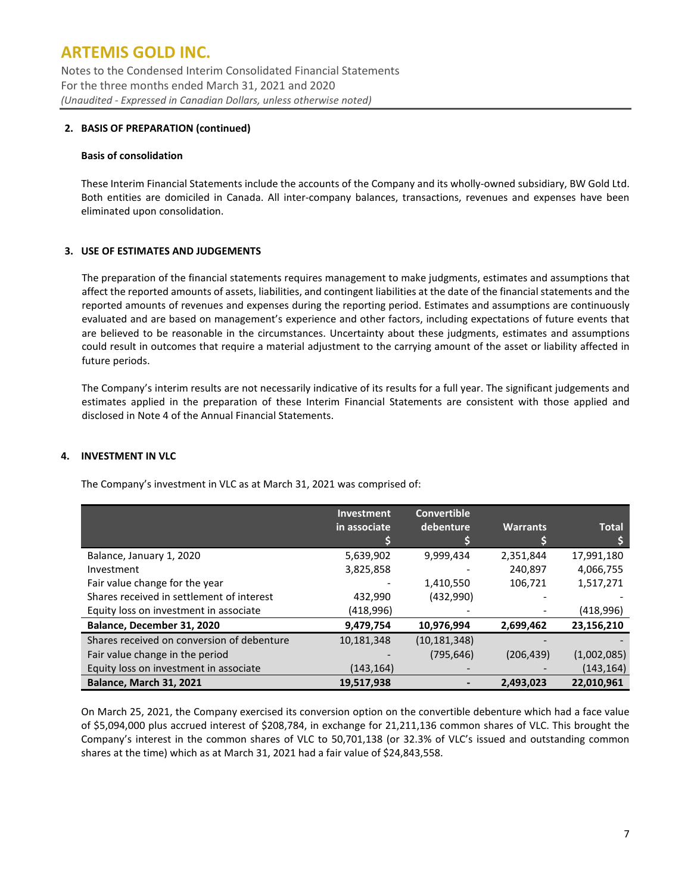Notes to the Condensed Interim Consolidated Financial Statements For the three months ended March 31, 2021 and 2020 *(Unaudited - Expressed in Canadian Dollars, unless otherwise noted)*

### **2. BASIS OF PREPARATION (continued)**

#### **Basis of consolidation**

These Interim Financial Statements include the accounts of the Company and its wholly-owned subsidiary, BW Gold Ltd. Both entities are domiciled in Canada. All inter-company balances, transactions, revenues and expenses have been eliminated upon consolidation.

### **3. USE OF ESTIMATES AND JUDGEMENTS**

The preparation of the financial statements requires management to make judgments, estimates and assumptions that affect the reported amounts of assets, liabilities, and contingent liabilities at the date of the financial statements and the reported amounts of revenues and expenses during the reporting period. Estimates and assumptions are continuously evaluated and are based on management's experience and other factors, including expectations of future events that are believed to be reasonable in the circumstances. Uncertainty about these judgments, estimates and assumptions could result in outcomes that require a material adjustment to the carrying amount of the asset or liability affected in future periods.

The Company's interim results are not necessarily indicative of its results for a full year. The significant judgements and estimates applied in the preparation of these Interim Financial Statements are consistent with those applied and disclosed in Note 4 of the Annual Financial Statements.

#### **4. INVESTMENT IN VLC**

The Company's investment in VLC as at March 31, 2021 was comprised of:

|                                            | <b>Investment</b> | <b>Convertible</b> |                 |              |
|--------------------------------------------|-------------------|--------------------|-----------------|--------------|
|                                            | in associate      | debenture          | <b>Warrants</b> | <b>Total</b> |
|                                            |                   |                    |                 |              |
| Balance, January 1, 2020                   | 5,639,902         | 9,999,434          | 2,351,844       | 17,991,180   |
| Investment                                 | 3,825,858         |                    | 240,897         | 4,066,755    |
| Fair value change for the year             |                   | 1,410,550          | 106,721         | 1,517,271    |
| Shares received in settlement of interest  | 432,990           | (432,990)          |                 |              |
| Equity loss on investment in associate     | (418,996)         |                    |                 | (418,996)    |
| Balance, December 31, 2020                 | 9,479,754         | 10,976,994         | 2,699,462       | 23,156,210   |
| Shares received on conversion of debenture | 10,181,348        | (10, 181, 348)     |                 |              |
| Fair value change in the period            |                   | (795, 646)         | (206, 439)      | (1,002,085)  |
| Equity loss on investment in associate     | (143, 164)        |                    |                 | (143, 164)   |
| <b>Balance, March 31, 2021</b>             | 19,517,938        |                    | 2,493,023       | 22,010,961   |

On March 25, 2021, the Company exercised its conversion option on the convertible debenture which had a face value of \$5,094,000 plus accrued interest of \$208,784, in exchange for 21,211,136 common shares of VLC. This brought the Company's interest in the common shares of VLC to 50,701,138 (or 32.3% of VLC's issued and outstanding common shares at the time) which as at March 31, 2021 had a fair value of \$24,843,558.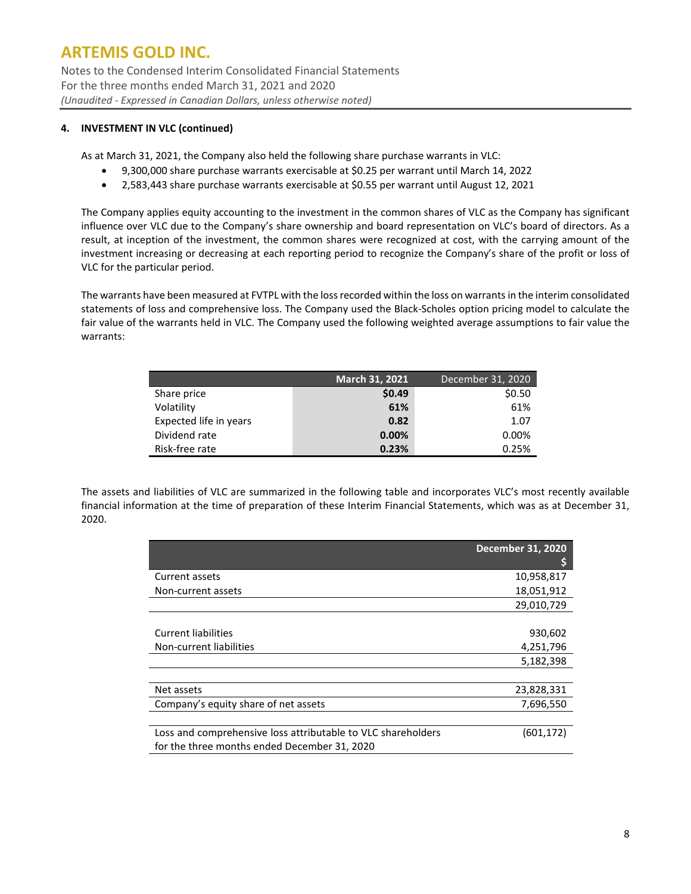Notes to the Condensed Interim Consolidated Financial Statements For the three months ended March 31, 2021 and 2020 *(Unaudited - Expressed in Canadian Dollars, unless otherwise noted)*

### **4. INVESTMENT IN VLC (continued)**

As at March 31, 2021, the Company also held the following share purchase warrants in VLC:

- 9,300,000 share purchase warrants exercisable at \$0.25 per warrant until March 14, 2022
- 2,583,443 share purchase warrants exercisable at \$0.55 per warrant until August 12, 2021

The Company applies equity accounting to the investment in the common shares of VLC as the Company has significant influence over VLC due to the Company's share ownership and board representation on VLC's board of directors. As a result, at inception of the investment, the common shares were recognized at cost, with the carrying amount of the investment increasing or decreasing at each reporting period to recognize the Company's share of the profit or loss of VLC for the particular period.

The warrants have been measured at FVTPL with the loss recorded within the loss on warrants in the interim consolidated statements of loss and comprehensive loss. The Company used the Black-Scholes option pricing model to calculate the fair value of the warrants held in VLC. The Company used the following weighted average assumptions to fair value the warrants:

|                        | March 31, 2021 | December 31, 2020 |
|------------------------|----------------|-------------------|
| Share price            | \$0.49         | \$0.50            |
| Volatility             | 61%            | 61%               |
| Expected life in years | 0.82           | 1.07              |
| Dividend rate          | $0.00\%$       | 0.00%             |
| Risk-free rate         | 0.23%          | 0.25%             |

The assets and liabilities of VLC are summarized in the following table and incorporates VLC's most recently available financial information at the time of preparation of these Interim Financial Statements, which was as at December 31, 2020.

|                                                                                                              | <b>December 31, 2020</b> |
|--------------------------------------------------------------------------------------------------------------|--------------------------|
| Current assets                                                                                               | 10,958,817               |
| Non-current assets                                                                                           | 18,051,912               |
|                                                                                                              | 29,010,729               |
|                                                                                                              |                          |
| <b>Current liabilities</b>                                                                                   | 930,602                  |
| Non-current liabilities                                                                                      | 4,251,796                |
|                                                                                                              | 5,182,398                |
|                                                                                                              |                          |
| Net assets                                                                                                   | 23,828,331               |
| Company's equity share of net assets                                                                         | 7,696,550                |
|                                                                                                              |                          |
| Loss and comprehensive loss attributable to VLC shareholders<br>for the three months ended December 31, 2020 | (601,172)                |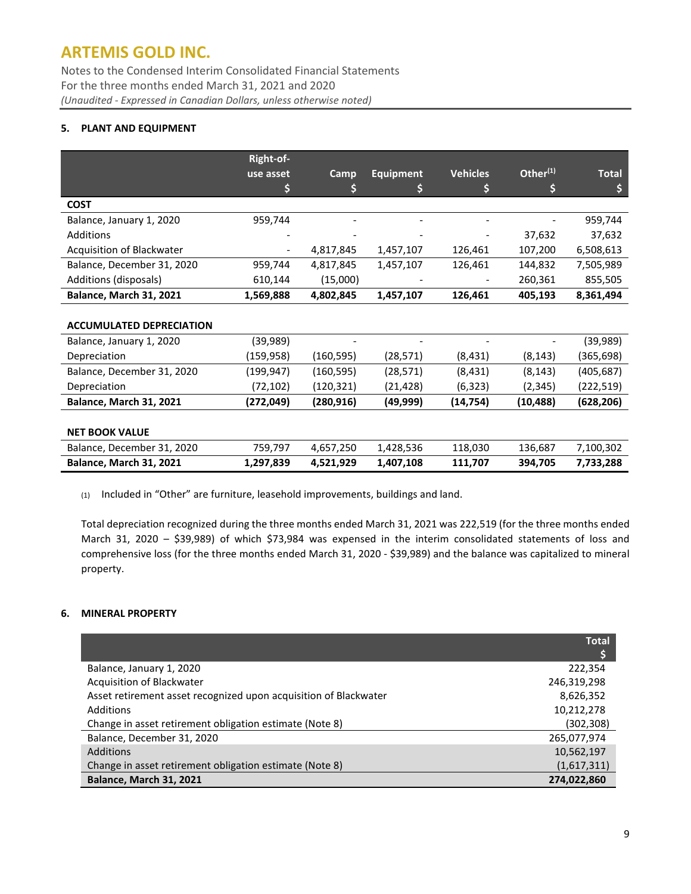Notes to the Condensed Interim Consolidated Financial Statements For the three months ended March 31, 2021 and 2020 *(Unaudited - Expressed in Canadian Dollars, unless otherwise noted)*

### **5. PLANT AND EQUIPMENT**

|                                 | Right-of-  |            |                  |                 |             |              |
|---------------------------------|------------|------------|------------------|-----------------|-------------|--------------|
|                                 | use asset  | Camp       | <b>Equipment</b> | <b>Vehicles</b> | Other $(1)$ | <b>Total</b> |
|                                 |            | \$         | \$               | \$              | \$          | \$           |
| <b>COST</b>                     |            |            |                  |                 |             |              |
| Balance, January 1, 2020        | 959,744    |            |                  |                 |             | 959,744      |
| Additions                       |            |            |                  |                 | 37,632      | 37,632       |
| Acquisition of Blackwater       |            | 4,817,845  | 1,457,107        | 126,461         | 107,200     | 6,508,613    |
| Balance, December 31, 2020      | 959,744    | 4,817,845  | 1,457,107        | 126,461         | 144,832     | 7,505,989    |
| Additions (disposals)           | 610,144    | (15,000)   |                  |                 | 260,361     | 855,505      |
| Balance, March 31, 2021         | 1,569,888  | 4,802,845  | 1,457,107        | 126,461         | 405,193     | 8,361,494    |
|                                 |            |            |                  |                 |             |              |
| <b>ACCUMULATED DEPRECIATION</b> |            |            |                  |                 |             |              |
| Balance, January 1, 2020        | (39,989)   |            |                  |                 |             | (39, 989)    |
| Depreciation                    | (159,958)  | (160, 595) | (28, 571)        | (8, 431)        | (8, 143)    | (365,698)    |
| Balance, December 31, 2020      | (199,947)  | (160, 595) | (28, 571)        | (8,431)         | (8, 143)    | (405, 687)   |
| Depreciation                    | (72, 102)  | (120, 321) | (21,428)         | (6, 323)        | (2, 345)    | (222, 519)   |
| Balance, March 31, 2021         | (272, 049) | (280, 916) | (49,999)         | (14, 754)       | (10, 488)   | (628, 206)   |
|                                 |            |            |                  |                 |             |              |
| <b>NET BOOK VALUE</b>           |            |            |                  |                 |             |              |
| Balance, December 31, 2020      | 759,797    | 4,657,250  | 1,428,536        | 118,030         | 136,687     | 7,100,302    |
| Balance, March 31, 2021         | 1,297,839  | 4,521,929  | 1,407,108        | 111,707         | 394,705     | 7,733,288    |

(1) Included in "Other" are furniture, leasehold improvements, buildings and land.

Total depreciation recognized during the three months ended March 31, 2021 was 222,519 (for the three months ended March 31, 2020 – \$39,989) of which \$73,984 was expensed in the interim consolidated statements of loss and comprehensive loss (for the three months ended March 31, 2020 - \$39,989) and the balance was capitalized to mineral property.

### **6. MINERAL PROPERTY**

|                                                                  | <b>Total</b> |
|------------------------------------------------------------------|--------------|
|                                                                  |              |
| Balance, January 1, 2020                                         | 222,354      |
| Acquisition of Blackwater                                        | 246,319,298  |
| Asset retirement asset recognized upon acquisition of Blackwater | 8,626,352    |
| Additions                                                        | 10,212,278   |
| Change in asset retirement obligation estimate (Note 8)          | (302,308)    |
| Balance, December 31, 2020                                       | 265,077,974  |
| <b>Additions</b>                                                 | 10,562,197   |
| Change in asset retirement obligation estimate (Note 8)          | (1,617,311)  |
| <b>Balance, March 31, 2021</b>                                   | 274,022,860  |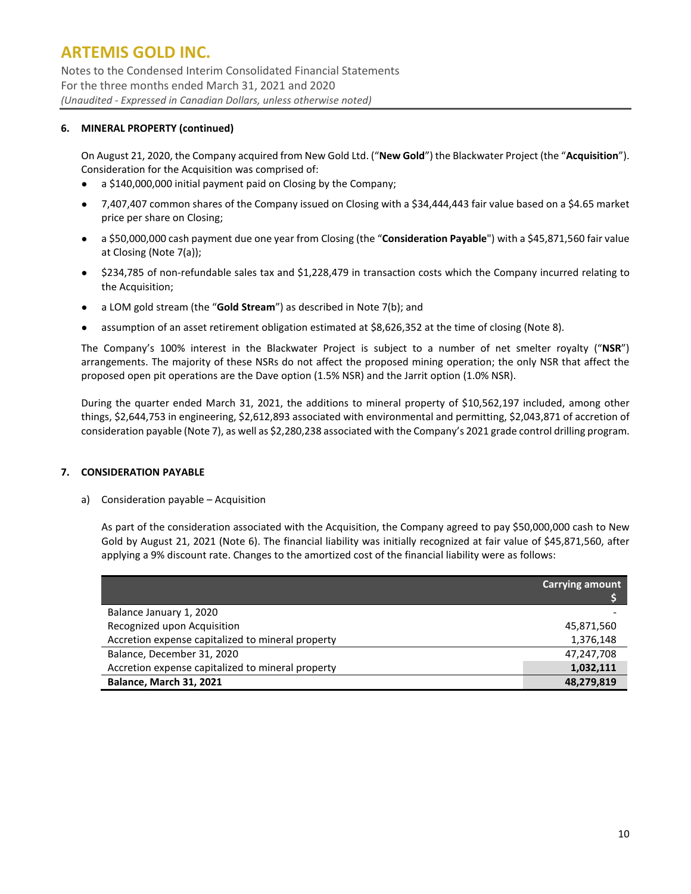Notes to the Condensed Interim Consolidated Financial Statements For the three months ended March 31, 2021 and 2020 *(Unaudited - Expressed in Canadian Dollars, unless otherwise noted)*

### **6. MINERAL PROPERTY (continued)**

On August 21, 2020, the Company acquired from New Gold Ltd. ("**New Gold**") the Blackwater Project (the "**Acquisition**"). Consideration for the Acquisition was comprised of:

- a \$140,000,000 initial payment paid on Closing by the Company;
- 7,407,407 common shares of the Company issued on Closing with a \$34,444,443 fair value based on a \$4.65 market price per share on Closing;
- a \$50,000,000 cash payment due one year from Closing (the "**Consideration Payable**") with a \$45,871,560 fair value at Closing (Note 7(a));
- \$234,785 of non-refundable sales tax and \$1,228,479 in transaction costs which the Company incurred relating to the Acquisition;
- a LOM gold stream (the "**Gold Stream**") as described in Note 7(b); and
- assumption of an asset retirement obligation estimated at \$8,626,352 at the time of closing (Note 8).

The Company's 100% interest in the Blackwater Project is subject to a number of net smelter royalty ("**NSR**") arrangements. The majority of these NSRs do not affect the proposed mining operation; the only NSR that affect the proposed open pit operations are the Dave option (1.5% NSR) and the Jarrit option (1.0% NSR).

During the quarter ended March 31, 2021, the additions to mineral property of \$10,562,197 included, among other things, \$2,644,753 in engineering, \$2,612,893 associated with environmental and permitting, \$2,043,871 of accretion of consideration payable (Note 7), as well as \$2,280,238 associated with the Company's 2021 grade control drilling program.

### **7. CONSIDERATION PAYABLE**

a) Consideration payable – Acquisition

As part of the consideration associated with the Acquisition, the Company agreed to pay \$50,000,000 cash to New Gold by August 21, 2021 (Note 6). The financial liability was initially recognized at fair value of \$45,871,560, after applying a 9% discount rate. Changes to the amortized cost of the financial liability were as follows:

|                                                   | <b>Carrying amount</b> |
|---------------------------------------------------|------------------------|
| Balance January 1, 2020                           |                        |
| Recognized upon Acquisition                       | 45,871,560             |
| Accretion expense capitalized to mineral property | 1,376,148              |
| Balance, December 31, 2020                        | 47,247,708             |
| Accretion expense capitalized to mineral property | 1,032,111              |
| <b>Balance, March 31, 2021</b>                    | 48,279,819             |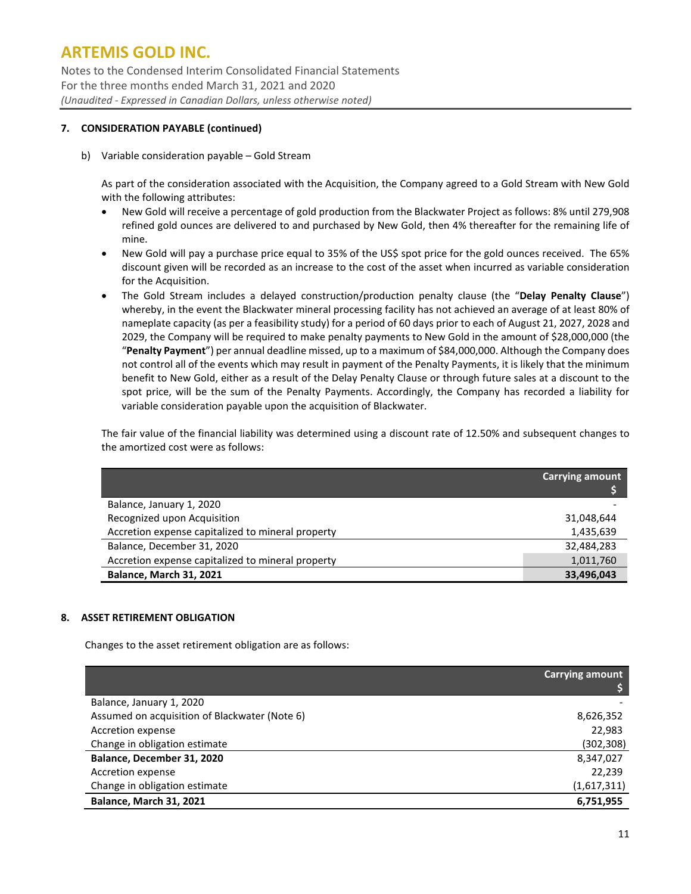Notes to the Condensed Interim Consolidated Financial Statements For the three months ended March 31, 2021 and 2020 *(Unaudited - Expressed in Canadian Dollars, unless otherwise noted)*

### **7. CONSIDERATION PAYABLE (continued)**

b) Variable consideration payable – Gold Stream

As part of the consideration associated with the Acquisition, the Company agreed to a Gold Stream with New Gold with the following attributes:

- New Gold will receive a percentage of gold production from the Blackwater Project as follows: 8% until 279,908 refined gold ounces are delivered to and purchased by New Gold, then 4% thereafter for the remaining life of mine.
- New Gold will pay a purchase price equal to 35% of the US\$ spot price for the gold ounces received. The 65% discount given will be recorded as an increase to the cost of the asset when incurred as variable consideration for the Acquisition.
- The Gold Stream includes a delayed construction/production penalty clause (the "**Delay Penalty Clause**") whereby, in the event the Blackwater mineral processing facility has not achieved an average of at least 80% of nameplate capacity (as per a feasibility study) for a period of 60 days prior to each of August 21, 2027, 2028 and 2029, the Company will be required to make penalty payments to New Gold in the amount of \$28,000,000 (the "**Penalty Payment**") per annual deadline missed, up to a maximum of \$84,000,000. Although the Company does not control all of the events which may result in payment of the Penalty Payments, it is likely that the minimum benefit to New Gold, either as a result of the Delay Penalty Clause or through future sales at a discount to the spot price, will be the sum of the Penalty Payments. Accordingly, the Company has recorded a liability for variable consideration payable upon the acquisition of Blackwater.

The fair value of the financial liability was determined using a discount rate of 12.50% and subsequent changes to the amortized cost were as follows:

|                                                   | <b>Carrying amount</b> |
|---------------------------------------------------|------------------------|
| Balance, January 1, 2020                          |                        |
| Recognized upon Acquisition                       | 31,048,644             |
| Accretion expense capitalized to mineral property | 1,435,639              |
| Balance, December 31, 2020                        | 32,484,283             |
| Accretion expense capitalized to mineral property | 1,011,760              |
| <b>Balance, March 31, 2021</b>                    | 33,496,043             |

### **8. ASSET RETIREMENT OBLIGATION**

Changes to the asset retirement obligation are as follows:

|                                               | <b>Carrying amount</b> |
|-----------------------------------------------|------------------------|
| Balance, January 1, 2020                      |                        |
| Assumed on acquisition of Blackwater (Note 6) | 8,626,352              |
| Accretion expense                             | 22,983                 |
| Change in obligation estimate                 | (302, 308)             |
| Balance, December 31, 2020                    | 8,347,027              |
| Accretion expense                             | 22,239                 |
| Change in obligation estimate                 | (1,617,311)            |
| Balance, March 31, 2021                       | 6,751,955              |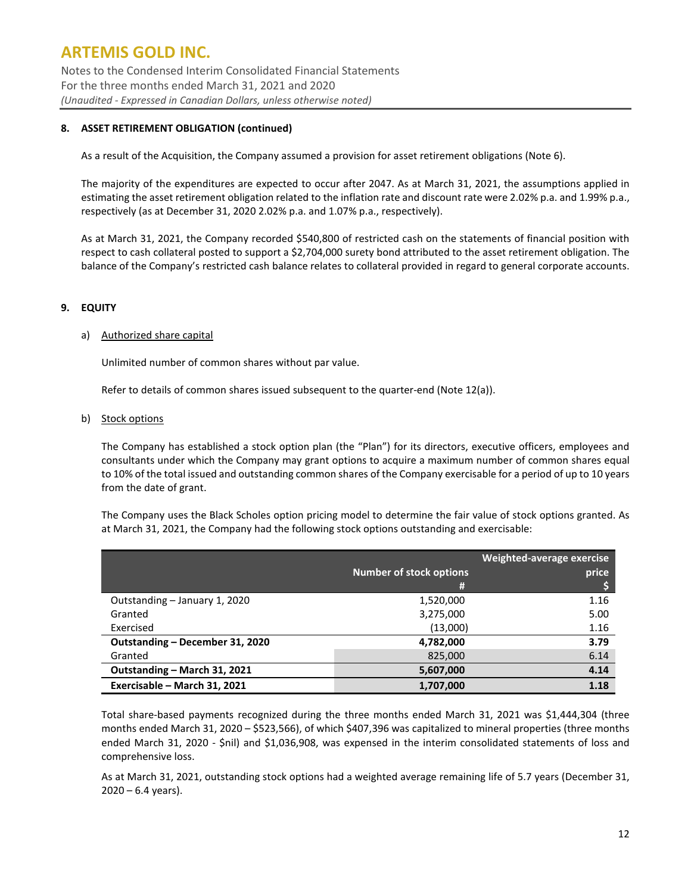Notes to the Condensed Interim Consolidated Financial Statements For the three months ended March 31, 2021 and 2020 *(Unaudited - Expressed in Canadian Dollars, unless otherwise noted)*

### **8. ASSET RETIREMENT OBLIGATION (continued)**

As a result of the Acquisition, the Company assumed a provision for asset retirement obligations (Note 6).

The majority of the expenditures are expected to occur after 2047. As at March 31, 2021, the assumptions applied in estimating the asset retirement obligation related to the inflation rate and discount rate were 2.02% p.a. and 1.99% p.a., respectively (as at December 31, 2020 2.02% p.a. and 1.07% p.a., respectively).

As at March 31, 2021, the Company recorded \$540,800 of restricted cash on the statements of financial position with respect to cash collateral posted to support a \$2,704,000 surety bond attributed to the asset retirement obligation. The balance of the Company's restricted cash balance relates to collateral provided in regard to general corporate accounts.

#### **9. EQUITY**

#### a) Authorized share capital

Unlimited number of common shares without par value.

Refer to details of common shares issued subsequent to the quarter-end (Note 12(a)).

#### b) Stock options

The Company has established a stock option plan (the "Plan") for its directors, executive officers, employees and consultants under which the Company may grant options to acquire a maximum number of common shares equal to 10% of the total issued and outstanding common shares of the Company exercisable for a period of up to 10 years from the date of grant.

The Company uses the Black Scholes option pricing model to determine the fair value of stock options granted. As at March 31, 2021, the Company had the following stock options outstanding and exercisable:

|                                 | <b>Number of stock options</b><br>(井 | Weighted-average exercise<br>price |
|---------------------------------|--------------------------------------|------------------------------------|
| Outstanding – January 1, 2020   | 1,520,000                            | 1.16                               |
| Granted                         | 3,275,000                            | 5.00                               |
| Exercised                       | (13,000)                             | 1.16                               |
| Outstanding – December 31, 2020 | 4,782,000                            | 3.79                               |
| Granted                         | 825,000                              | 6.14                               |
| Outstanding - March 31, 2021    | 5,607,000                            | 4.14                               |
| Exercisable - March 31, 2021    | 1,707,000                            | 1.18                               |

Total share-based payments recognized during the three months ended March 31, 2021 was \$1,444,304 (three months ended March 31, 2020 – \$523,566), of which \$407,396 was capitalized to mineral properties (three months ended March 31, 2020 - \$nil) and \$1,036,908, was expensed in the interim consolidated statements of loss and comprehensive loss.

As at March 31, 2021, outstanding stock options had a weighted average remaining life of 5.7 years (December 31,  $2020 - 6.4$  years).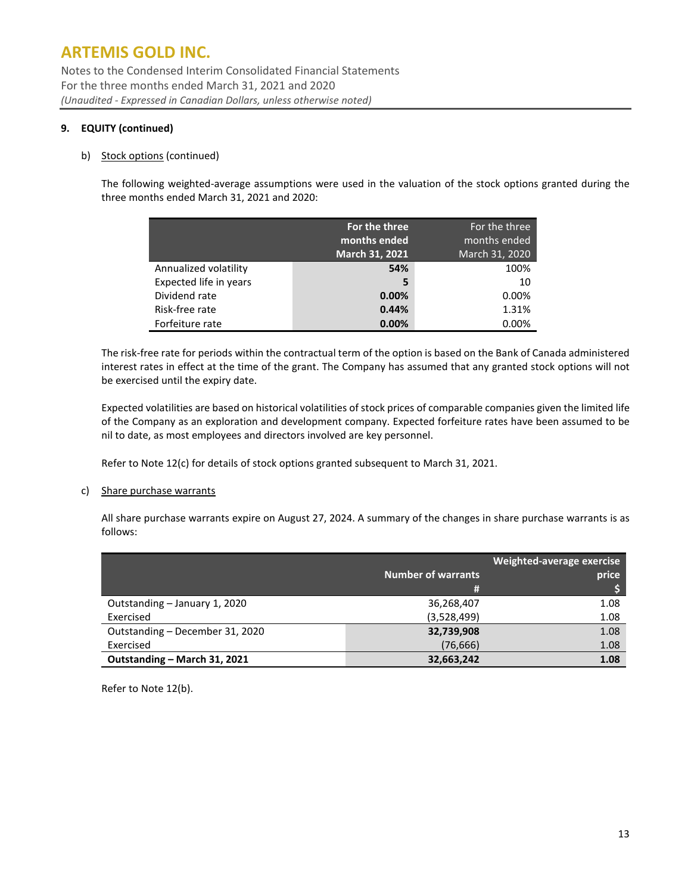Notes to the Condensed Interim Consolidated Financial Statements For the three months ended March 31, 2021 and 2020 *(Unaudited - Expressed in Canadian Dollars, unless otherwise noted)*

### **9. EQUITY (continued)**

#### b) Stock options (continued)

The following weighted-average assumptions were used in the valuation of the stock options granted during the three months ended March 31, 2021 and 2020:

|                        | For the three<br>months ended<br>March 31, 2021 | For the three<br>months ended<br>March 31, 2020 |
|------------------------|-------------------------------------------------|-------------------------------------------------|
| Annualized volatility  | 54%                                             | 100%                                            |
| Expected life in years | 5                                               | 10                                              |
| Dividend rate          | 0.00%                                           | 0.00%                                           |
| Risk-free rate         | 0.44%                                           | 1.31%                                           |
| Forfeiture rate        | 0.00%                                           | 0.00%                                           |

The risk-free rate for periods within the contractual term of the option is based on the Bank of Canada administered interest rates in effect at the time of the grant. The Company has assumed that any granted stock options will not be exercised until the expiry date.

Expected volatilities are based on historical volatilities of stock prices of comparable companies given the limited life of the Company as an exploration and development company. Expected forfeiture rates have been assumed to be nil to date, as most employees and directors involved are key personnel.

Refer to Note 12(c) for details of stock options granted subsequent to March 31, 2021.

#### c) Share purchase warrants

All share purchase warrants expire on August 27, 2024. A summary of the changes in share purchase warrants is as follows:

|                                 |                           | Weighted-average exercise |
|---------------------------------|---------------------------|---------------------------|
|                                 | <b>Number of warrants</b> | price                     |
|                                 | #                         |                           |
| Outstanding - January 1, 2020   | 36,268,407                | 1.08                      |
| Exercised                       | (3,528,499)               | 1.08                      |
| Outstanding - December 31, 2020 | 32,739,908                | 1.08                      |
| Exercised                       | (76, 666)                 | 1.08                      |
| Outstanding - March 31, 2021    | 32,663,242                | 1.08                      |

Refer to Note 12(b).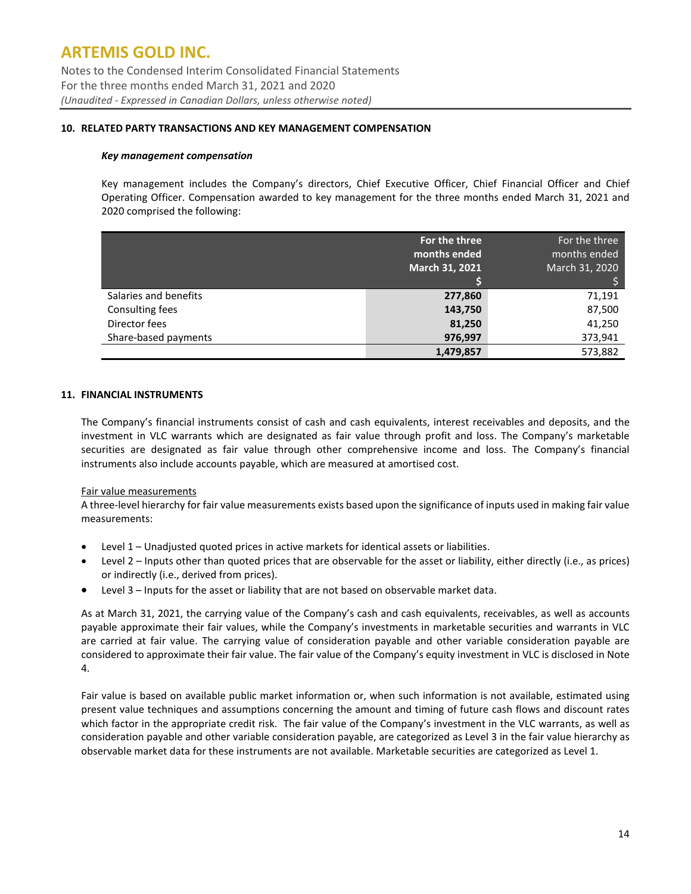Notes to the Condensed Interim Consolidated Financial Statements For the three months ended March 31, 2021 and 2020 *(Unaudited - Expressed in Canadian Dollars, unless otherwise noted)*

#### **10. RELATED PARTY TRANSACTIONS AND KEY MANAGEMENT COMPENSATION**

#### *Key management compensation*

Key management includes the Company's directors, Chief Executive Officer, Chief Financial Officer and Chief Operating Officer. Compensation awarded to key management for the three months ended March 31, 2021 and 2020 comprised the following:

|                       | For the three<br>months ended<br>March 31, 2021 | For the three<br>months ended<br>March 31, 2020 |
|-----------------------|-------------------------------------------------|-------------------------------------------------|
| Salaries and benefits | 277,860                                         | 71,191                                          |
| Consulting fees       | 143,750                                         | 87,500                                          |
| Director fees         | 81,250                                          | 41,250                                          |
| Share-based payments  | 976,997                                         | 373,941                                         |
|                       | 1,479,857                                       | 573,882                                         |

#### **11. FINANCIAL INSTRUMENTS**

The Company's financial instruments consist of cash and cash equivalents, interest receivables and deposits, and the investment in VLC warrants which are designated as fair value through profit and loss. The Company's marketable securities are designated as fair value through other comprehensive income and loss. The Company's financial instruments also include accounts payable, which are measured at amortised cost.

#### Fair value measurements

A three-level hierarchy for fair value measurements exists based upon the significance of inputs used in making fair value measurements:

- Level 1 Unadjusted quoted prices in active markets for identical assets or liabilities.
- Level 2 Inputs other than quoted prices that are observable for the asset or liability, either directly (i.e., as prices) or indirectly (i.e., derived from prices).
- Level 3 Inputs for the asset or liability that are not based on observable market data.

As at March 31, 2021, the carrying value of the Company's cash and cash equivalents, receivables, as well as accounts payable approximate their fair values, while the Company's investments in marketable securities and warrants in VLC are carried at fair value. The carrying value of consideration payable and other variable consideration payable are considered to approximate their fair value. The fair value of the Company's equity investment in VLC is disclosed in Note 4.

Fair value is based on available public market information or, when such information is not available, estimated using present value techniques and assumptions concerning the amount and timing of future cash flows and discount rates which factor in the appropriate credit risk. The fair value of the Company's investment in the VLC warrants, as well as consideration payable and other variable consideration payable, are categorized as Level 3 in the fair value hierarchy as observable market data for these instruments are not available. Marketable securities are categorized as Level 1.